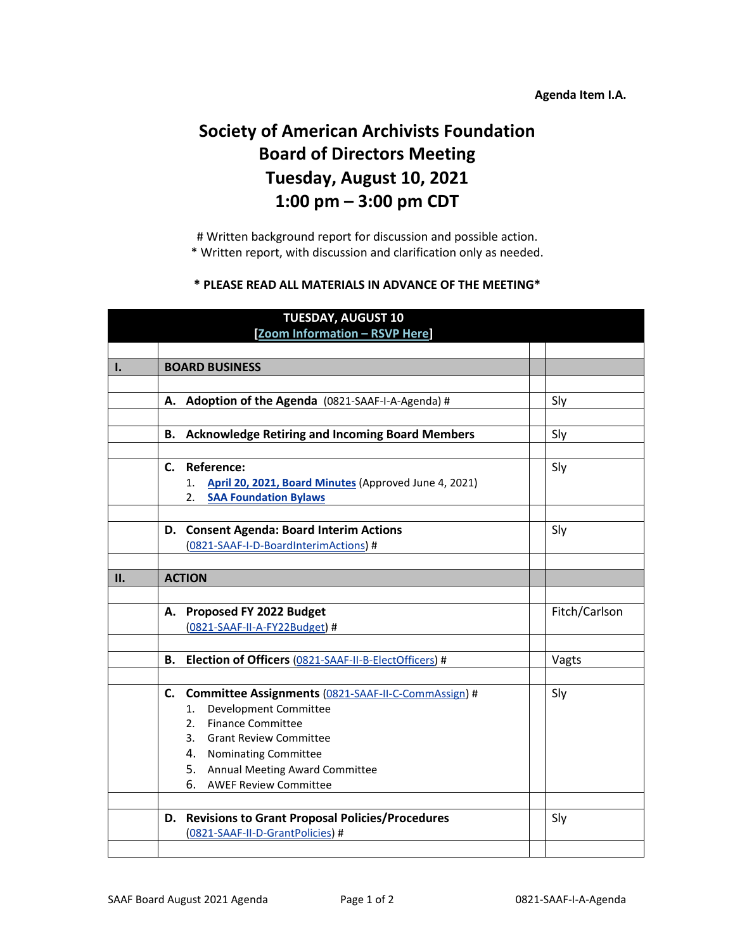## **Agenda Item I.A.**

## **Society of American Archivists Foundation Board of Directors Meeting Tuesday, August 10, 2021 1:00 pm – 3:00 pm CDT**

# Written background report for discussion and possible action. \* Written report, with discussion and clarification only as needed.

## **\* PLEASE READ ALL MATERIALS IN ADVANCE OF THE MEETING\***

|                | <b>TUESDAY, AUGUST 10</b> |                                                          |  |               |  |  |
|----------------|---------------------------|----------------------------------------------------------|--|---------------|--|--|
|                |                           | [Zoom Information - RSVP Here]                           |  |               |  |  |
|                |                           |                                                          |  |               |  |  |
| $\mathbf{I}$ . |                           | <b>BOARD BUSINESS</b>                                    |  |               |  |  |
|                |                           |                                                          |  |               |  |  |
|                |                           | A. Adoption of the Agenda (0821-SAAF-I-A-Agenda) #       |  | Sly           |  |  |
|                |                           |                                                          |  |               |  |  |
|                | В.                        | <b>Acknowledge Retiring and Incoming Board Members</b>   |  | Sly           |  |  |
|                |                           |                                                          |  |               |  |  |
|                |                           | C. Reference:                                            |  | Sly           |  |  |
|                |                           | 1. April 20, 2021, Board Minutes (Approved June 4, 2021) |  |               |  |  |
|                |                           | <b>SAA Foundation Bylaws</b><br>2.                       |  |               |  |  |
|                |                           |                                                          |  |               |  |  |
|                |                           | D. Consent Agenda: Board Interim Actions                 |  | Sly           |  |  |
|                |                           | (0821-SAAF-I-D-BoardInterimActions) #                    |  |               |  |  |
|                |                           |                                                          |  |               |  |  |
| II.            |                           | <b>ACTION</b>                                            |  |               |  |  |
|                |                           |                                                          |  |               |  |  |
|                |                           | A. Proposed FY 2022 Budget                               |  | Fitch/Carlson |  |  |
|                |                           | (0821-SAAF-II-A-FY22Budget) #                            |  |               |  |  |
|                |                           |                                                          |  |               |  |  |
|                |                           | B. Election of Officers (0821-SAAF-II-B-ElectOfficers) # |  | Vagts         |  |  |
|                |                           |                                                          |  |               |  |  |
|                |                           | C. Committee Assignments (0821-SAAF-II-C-CommAssign) #   |  | Sly           |  |  |
|                |                           | Development Committee<br>1.                              |  |               |  |  |
|                |                           | <b>Finance Committee</b><br>2.                           |  |               |  |  |
|                |                           | 3. Grant Review Committee                                |  |               |  |  |
|                |                           | 4. Nominating Committee                                  |  |               |  |  |
|                |                           | 5. Annual Meeting Award Committee                        |  |               |  |  |
|                |                           | 6. AWEF Review Committee                                 |  |               |  |  |
|                |                           |                                                          |  |               |  |  |
|                |                           | D. Revisions to Grant Proposal Policies/Procedures       |  | Sly           |  |  |
|                |                           | (0821-SAAF-II-D-GrantPolicies) #                         |  |               |  |  |
|                |                           |                                                          |  |               |  |  |